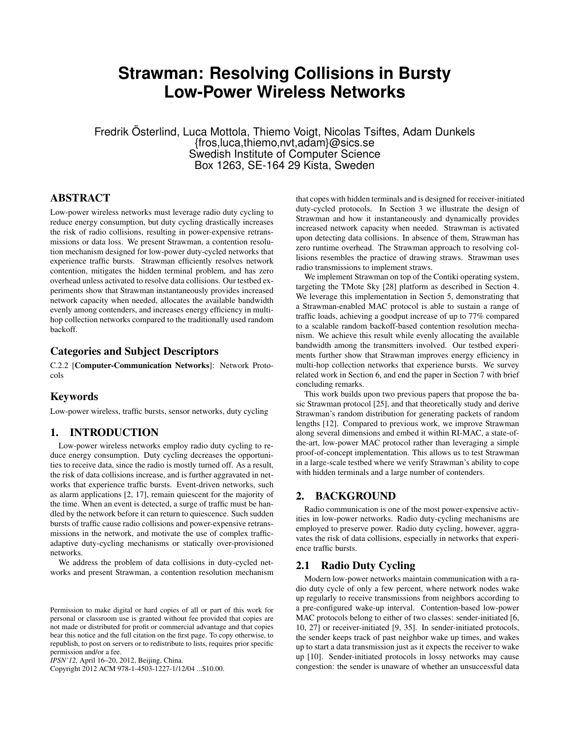# **Strawman: Resolving Collisions in Bursty Low-Power Wireless Networks**

Fredrik Österlind, Luca Mottola, Thiemo Voigt, Nicolas Tsiftes, Adam Dunkels {fros,luca,thiemo,nvt,adam}@sics.se Swedish Institute of Computer Science Box 1263, SE-164 29 Kista, Sweden

# ABSTRACT

Low-power wireless networks must leverage radio duty cycling to reduce energy consumption, but duty cycling drastically increases the risk of radio collisions, resulting in power-expensive retransmissions or data loss. We present Strawman, a contention resolution mechanism designed for low-power duty-cycled networks that experience traffic bursts. Strawman efficiently resolves network contention, mitigates the hidden terminal problem, and has zero overhead unless activated to resolve data collisions. Our testbed experiments show that Strawman instantaneously provides increased network capacity when needed, allocates the available bandwidth evenly among contenders, and increases energy efficiency in multihop collection networks compared to the traditionally used random backoff.

# Categories and Subject Descriptors

C.2.2 [Computer-Communication Networks]: Network Protocols

# Keywords

Low-power wireless, traffic bursts, sensor networks, duty cycling

## 1. INTRODUCTION

Low-power wireless networks employ radio duty cycling to reduce energy consumption. Duty cycling decreases the opportunities to receive data, since the radio is mostly turned off. As a result, the risk of data collisions increase, and is further aggravated in networks that experience traffic bursts. Event-driven networks, such as alarm applications [2, 17], remain quiescent for the majority of the time. When an event is detected, a surge of traffic must be handled by the network before it can return to quiescence. Such sudden bursts of traffic cause radio collisions and power-expensive retransmissions in the network, and motivate the use of complex trafficadaptive duty-cycling mechanisms or statically over-provisioned networks.

We address the problem of data collisions in duty-cycled networks and present Strawman, a contention resolution mechanism

Copyright 2012 ACM 978-1-4503-1227-1/12/04 ...\$10.00.

that copes with hidden terminals and is designed for receiver-initiated duty-cycled protocols. In Section 3 we illustrate the design of Strawman and how it instantaneously and dynamically provides increased network capacity when needed. Strawman is activated upon detecting data collisions. In absence of them, Strawman has zero runtime overhead. The Strawman approach to resolving collisions resembles the practice of drawing straws. Strawman uses radio transmissions to implement straws.

We implement Strawman on top of the Contiki operating system, targeting the TMote Sky [28] platform as described in Section 4. We leverage this implementation in Section 5, demonstrating that a Strawman-enabled MAC protocol is able to sustain a range of traffic loads, achieving a goodput increase of up to 77% compared to a scalable random backoff-based contention resolution mechanism. We achieve this result while evenly allocating the available bandwidth among the transmitters involved. Our testbed experiments further show that Strawman improves energy efficiency in multi-hop collection networks that experience bursts. We survey related work in Section 6, and end the paper in Section 7 with brief concluding remarks.

This work builds upon two previous papers that propose the basic Strawman protocol [25], and that theoretically study and derive Strawman's random distribution for generating packets of random lengths [12]. Compared to previous work, we improve Strawman along several dimensions and embed it within RI-MAC, a state-ofthe-art, low-power MAC protocol rather than leveraging a simple proof-of-concept implementation. This allows us to test Strawman in a large-scale testbed where we verify Strawman's ability to cope with hidden terminals and a large number of contenders.

## 2. BACKGROUND

Radio communication is one of the most power-expensive activities in low-power networks. Radio duty-cycling mechanisms are employed to preserve power. Radio duty cycling, however, aggravates the risk of data collisions, especially in networks that experience traffic bursts.

#### 2.1 Radio Duty Cycling

Modern low-power networks maintain communication with a radio duty cycle of only a few percent, where network nodes wake up regularly to receive transmissions from neighbors according to a pre-configured wake-up interval. Contention-based low-power MAC protocols belong to either of two classes: sender-initiated [6, 10, 27] or receiver-initiated [9, 35]. In sender-initiated protocols, the sender keeps track of past neighbor wake up times, and wakes up to start a data transmission just as it expects the receiver to wake up [10]. Sender-initiated protocols in lossy networks may cause congestion: the sender is unaware of whether an unsuccessful data

Permission to make digital or hard copies of all or part of this work for personal or classroom use is granted without fee provided that copies are not made or distributed for profit or commercial advantage and that copies bear this notice and the full citation on the first page. To copy otherwise, to republish, to post on servers or to redistribute to lists, requires prior specific permission and/or a fee.

*IPSN'12,* April 16–20, 2012, Beijing, China.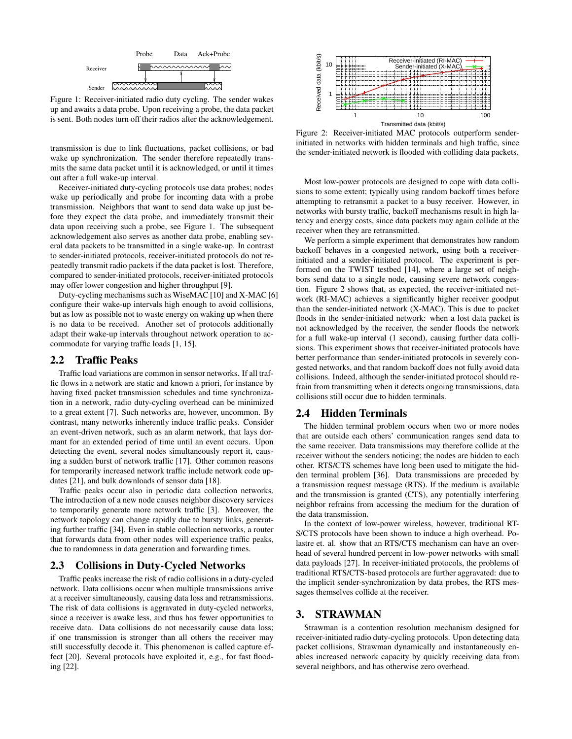

Figure 1: Receiver-initiated radio duty cycling. The sender wakes up and awaits a data probe. Upon receiving a probe, the data packet is sent. Both nodes turn off their radios after the acknowledgement.

transmission is due to link fluctuations, packet collisions, or bad wake up synchronization. The sender therefore repeatedly transmits the same data packet until it is acknowledged, or until it times out after a full wake-up interval.

Receiver-initiated duty-cycling protocols use data probes; nodes wake up periodically and probe for incoming data with a probe transmission. Neighbors that want to send data wake up just before they expect the data probe, and immediately transmit their data upon receiving such a probe, see Figure 1. The subsequent acknowledgement also serves as another data probe, enabling several data packets to be transmitted in a single wake-up. In contrast to sender-initiated protocols, receiver-initiated protocols do not repeatedly transmit radio packets if the data packet is lost. Therefore, compared to sender-initiated protocols, receiver-initiated protocols may offer lower congestion and higher throughput [9].

Duty-cycling mechanisms such as WiseMAC [10] and X-MAC [6] configure their wake-up intervals high enough to avoid collisions, but as low as possible not to waste energy on waking up when there is no data to be received. Another set of protocols additionally adapt their wake-up intervals throughout network operation to accommodate for varying traffic loads [1, 15].

## 2.2 Traffic Peaks

Traffic load variations are common in sensor networks. If all traffic flows in a network are static and known a priori, for instance by having fixed packet transmission schedules and time synchronization in a network, radio duty-cycling overhead can be minimized to a great extent [7]. Such networks are, however, uncommon. By contrast, many networks inherently induce traffic peaks. Consider an event-driven network, such as an alarm network, that lays dormant for an extended period of time until an event occurs. Upon detecting the event, several nodes simultaneously report it, causing a sudden burst of network traffic [17]. Other common reasons for temporarily increased network traffic include network code updates [21], and bulk downloads of sensor data [18].

Traffic peaks occur also in periodic data collection networks. The introduction of a new node causes neighbor discovery services to temporarily generate more network traffic [3]. Moreover, the network topology can change rapidly due to bursty links, generating further traffic [34]. Even in stable collection networks, a router that forwards data from other nodes will experience traffic peaks, due to randomness in data generation and forwarding times.

#### 2.3 Collisions in Duty-Cycled Networks

Traffic peaks increase the risk of radio collisions in a duty-cycled network. Data collisions occur when multiple transmissions arrive at a receiver simultaneously, causing data loss and retransmissions. The risk of data collisions is aggravated in duty-cycled networks, since a receiver is awake less, and thus has fewer opportunities to receive data. Data collisions do not necessarily cause data loss; if one transmission is stronger than all others the receiver may still successfully decode it. This phenomenon is called capture effect [20]. Several protocols have exploited it, e.g., for fast flooding [22].



Figure 2: Receiver-initiated MAC protocols outperform senderinitiated in networks with hidden terminals and high traffic, since the sender-initiated network is flooded with colliding data packets.

Most low-power protocols are designed to cope with data collisions to some extent; typically using random backoff times before attempting to retransmit a packet to a busy receiver. However, in networks with bursty traffic, backoff mechanisms result in high latency and energy costs, since data packets may again collide at the receiver when they are retransmitted.

We perform a simple experiment that demonstrates how random backoff behaves in a congested network, using both a receiverinitiated and a sender-initiated protocol. The experiment is performed on the TWIST testbed [14], where a large set of neighbors send data to a single node, causing severe network congestion. Figure 2 shows that, as expected, the receiver-initiated network (RI-MAC) achieves a significantly higher receiver goodput than the sender-initiated network (X-MAC). This is due to packet floods in the sender-initiated network: when a lost data packet is not acknowledged by the receiver, the sender floods the network for a full wake-up interval (1 second), causing further data collisions. This experiment shows that receiver-initiated protocols have better performance than sender-initiated protocols in severely congested networks, and that random backoff does not fully avoid data collisions. Indeed, although the sender-initiated protocol should refrain from transmitting when it detects ongoing transmissions, data collisions still occur due to hidden terminals.

#### 2.4 Hidden Terminals

The hidden terminal problem occurs when two or more nodes that are outside each others' communication ranges send data to the same receiver. Data transmissions may therefore collide at the receiver without the senders noticing; the nodes are hidden to each other. RTS/CTS schemes have long been used to mitigate the hidden terminal problem [36]. Data transmissions are preceded by a transmission request message (RTS). If the medium is available and the transmission is granted (CTS), any potentially interfering neighbor refrains from accessing the medium for the duration of the data transmission.

In the context of low-power wireless, however, traditional RT-S/CTS protocols have been shown to induce a high overhead. Polastre et. al. show that an RTS/CTS mechanism can have an overhead of several hundred percent in low-power networks with small data payloads [27]. In receiver-initiated protocols, the problems of traditional RTS/CTS-based protocols are further aggravated: due to the implicit sender-synchronization by data probes, the RTS messages themselves collide at the receiver.

#### 3. STRAWMAN

Strawman is a contention resolution mechanism designed for receiver-initiated radio duty-cycling protocols. Upon detecting data packet collisions, Strawman dynamically and instantaneously enables increased network capacity by quickly receiving data from several neighbors, and has otherwise zero overhead.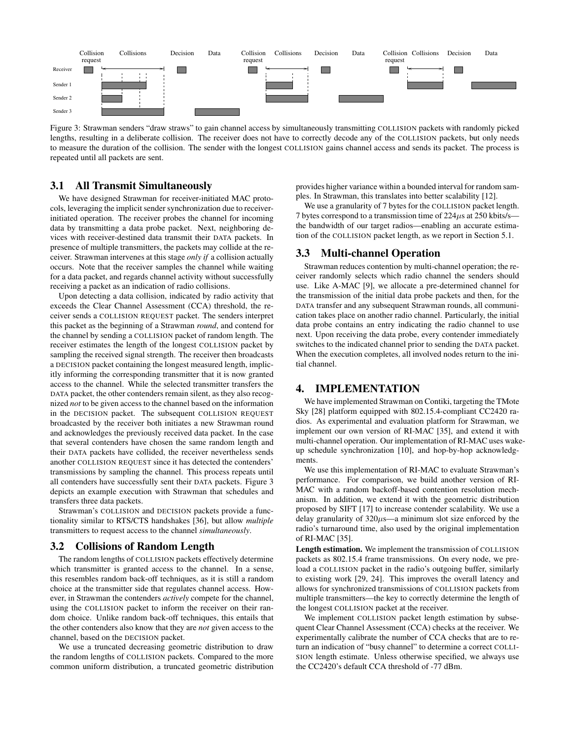

Figure 3: Strawman senders "draw straws" to gain channel access by simultaneously transmitting COLLISION packets with randomly picked lengths, resulting in a deliberate collision. The receiver does not have to correctly decode any of the COLLISION packets, but only needs to measure the duration of the collision. The sender with the longest COLLISION gains channel access and sends its packet. The process is repeated until all packets are sent.

## 3.1 All Transmit Simultaneously

We have designed Strawman for receiver-initiated MAC protocols, leveraging the implicit sender synchronization due to receiverinitiated operation. The receiver probes the channel for incoming data by transmitting a data probe packet. Next, neighboring devices with receiver-destined data transmit their DATA packets. In presence of multiple transmitters, the packets may collide at the receiver. Strawman intervenes at this stage *only if* a collision actually occurs. Note that the receiver samples the channel while waiting for a data packet, and regards channel activity without successfully receiving a packet as an indication of radio collisions.

Upon detecting a data collision, indicated by radio activity that exceeds the Clear Channel Assessment (CCA) threshold, the receiver sends a COLLISION REQUEST packet. The senders interpret this packet as the beginning of a Strawman *round*, and contend for the channel by sending a COLLISION packet of random length. The receiver estimates the length of the longest COLLISION packet by sampling the received signal strength. The receiver then broadcasts a DECISION packet containing the longest measured length, implicitly informing the corresponding transmitter that it is now granted access to the channel. While the selected transmitter transfers the DATA packet, the other contenders remain silent, as they also recognized *not* to be given access to the channel based on the information in the DECISION packet. The subsequent COLLISION REQUEST broadcasted by the receiver both initiates a new Strawman round and acknowledges the previously received data packet. In the case that several contenders have chosen the same random length and their DATA packets have collided, the receiver nevertheless sends another COLLISION REQUEST since it has detected the contenders' transmissions by sampling the channel. This process repeats until all contenders have successfully sent their DATA packets. Figure 3 depicts an example execution with Strawman that schedules and transfers three data packets.

Strawman's COLLISION and DECISION packets provide a functionality similar to RTS/CTS handshakes [36], but allow *multiple* transmitters to request access to the channel *simultaneously*.

#### 3.2 Collisions of Random Length

The random lengths of COLLISION packets effectively determine which transmitter is granted access to the channel. In a sense, this resembles random back-off techniques, as it is still a random choice at the transmitter side that regulates channel access. However, in Strawman the contenders *actively* compete for the channel, using the COLLISION packet to inform the receiver on their random choice. Unlike random back-off techniques, this entails that the other contenders also know that they are *not* given access to the channel, based on the DECISION packet.

We use a truncated decreasing geometric distribution to draw the random lengths of COLLISION packets. Compared to the more common uniform distribution, a truncated geometric distribution

provides higher variance within a bounded interval for random samples. In Strawman, this translates into better scalability [12].

We use a granularity of 7 bytes for the COLLISION packet length. 7 bytes correspond to a transmission time of  $224\mu s$  at  $250$  kbits/sthe bandwidth of our target radios—enabling an accurate estimation of the COLLISION packet length, as we report in Section 5.1.

#### 3.3 Multi-channel Operation

Strawman reduces contention by multi-channel operation; the receiver randomly selects which radio channel the senders should use. Like A-MAC [9], we allocate a pre-determined channel for the transmission of the initial data probe packets and then, for the DATA transfer and any subsequent Strawman rounds, all communication takes place on another radio channel. Particularly, the initial data probe contains an entry indicating the radio channel to use next. Upon receiving the data probe, every contender immediately switches to the indicated channel prior to sending the DATA packet. When the execution completes, all involved nodes return to the initial channel.

#### 4. IMPLEMENTATION

We have implemented Strawman on Contiki, targeting the TMote Sky [28] platform equipped with 802.15.4-compliant CC2420 radios. As experimental and evaluation platform for Strawman, we implement our own version of RI-MAC [35], and extend it with multi-channel operation. Our implementation of RI-MAC uses wakeup schedule synchronization [10], and hop-by-hop acknowledgments.

We use this implementation of RI-MAC to evaluate Strawman's performance. For comparison, we build another version of RI-MAC with a random backoff-based contention resolution mechanism. In addition, we extend it with the geometric distribution proposed by SIFT [17] to increase contender scalability. We use a delay granularity of  $320\mu s$ —a minimum slot size enforced by the radio's turnaround time, also used by the original implementation of RI-MAC [35].

Length estimation. We implement the transmission of COLLISION packets as 802.15.4 frame transmissions. On every node, we preload a COLLISION packet in the radio's outgoing buffer, similarly to existing work [29, 24]. This improves the overall latency and allows for synchronized transmissions of COLLISION packets from multiple transmitters—the key to correctly determine the length of the longest COLLISION packet at the receiver.

We implement COLLISION packet length estimation by subsequent Clear Channel Assessment (CCA) checks at the receiver. We experimentally calibrate the number of CCA checks that are to return an indication of "busy channel" to determine a correct COLLI-SION length estimate. Unless otherwise specified, we always use the CC2420's default CCA threshold of -77 dBm.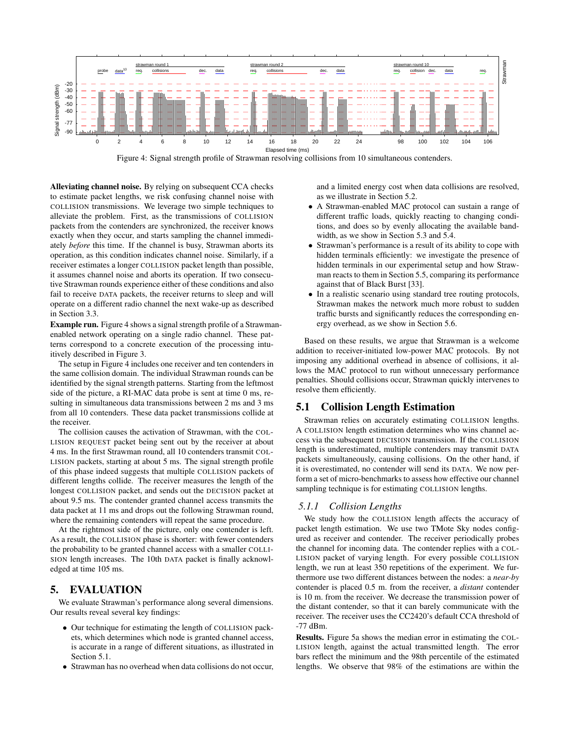

Figure 4: Signal strength profile of Strawman resolving collisions from 10 simultaneous contenders.

Alleviating channel noise. By relying on subsequent CCA checks to estimate packet lengths, we risk confusing channel noise with COLLISION transmissions. We leverage two simple techniques to alleviate the problem. First, as the transmissions of COLLISION packets from the contenders are synchronized, the receiver knows exactly when they occur, and starts sampling the channel immediately *before* this time. If the channel is busy, Strawman aborts its operation, as this condition indicates channel noise. Similarly, if a receiver estimates a longer COLLISION packet length than possible, it assumes channel noise and aborts its operation. If two consecutive Strawman rounds experience either of these conditions and also fail to receive DATA packets, the receiver returns to sleep and will operate on a different radio channel the next wake-up as described in Section 3.3.

Example run. Figure 4 shows a signal strength profile of a Strawmanenabled network operating on a single radio channel. These patterns correspond to a concrete execution of the processing intuitively described in Figure 3.

The setup in Figure 4 includes one receiver and ten contenders in the same collision domain. The individual Strawman rounds can be identified by the signal strength patterns. Starting from the leftmost side of the picture, a RI-MAC data probe is sent at time 0 ms, resulting in simultaneous data transmissions between 2 ms and 3 ms from all 10 contenders. These data packet transmissions collide at the receiver.

The collision causes the activation of Strawman, with the COL-LISION REQUEST packet being sent out by the receiver at about 4 ms. In the first Strawman round, all 10 contenders transmit COL-LISION packets, starting at about 5 ms. The signal strength profile of this phase indeed suggests that multiple COLLISION packets of different lengths collide. The receiver measures the length of the longest COLLISION packet, and sends out the DECISION packet at about 9.5 ms. The contender granted channel access transmits the data packet at 11 ms and drops out the following Strawman round, where the remaining contenders will repeat the same procedure.

At the rightmost side of the picture, only one contender is left. As a result, the COLLISION phase is shorter: with fewer contenders the probability to be granted channel access with a smaller COLLI-SION length increases. The 10th DATA packet is finally acknowledged at time 105 ms.

## 5. EVALUATION

We evaluate Strawman's performance along several dimensions. Our results reveal several key findings:

- Our technique for estimating the length of COLLISION packets, which determines which node is granted channel access, is accurate in a range of different situations, as illustrated in Section 5.1.
- Strawman has no overhead when data collisions do not occur,

and a limited energy cost when data collisions are resolved, as we illustrate in Section 5.2.

- A Strawman-enabled MAC protocol can sustain a range of different traffic loads, quickly reacting to changing conditions, and does so by evenly allocating the available bandwidth, as we show in Section 5.3 and 5.4.
- Strawman's performance is a result of its ability to cope with hidden terminals efficiently: we investigate the presence of hidden terminals in our experimental setup and how Strawman reacts to them in Section 5.5, comparing its performance against that of Black Burst [33].
- In a realistic scenario using standard tree routing protocols, Strawman makes the network much more robust to sudden traffic bursts and significantly reduces the corresponding energy overhead, as we show in Section 5.6.

Based on these results, we argue that Strawman is a welcome addition to receiver-initiated low-power MAC protocols. By not imposing any additional overhead in absence of collisions, it allows the MAC protocol to run without unnecessary performance penalties. Should collisions occur, Strawman quickly intervenes to resolve them efficiently.

#### 5.1 Collision Length Estimation

Strawman relies on accurately estimating COLLISION lengths. A COLLISION length estimation determines who wins channel access via the subsequent DECISION transmission. If the COLLISION length is underestimated, multiple contenders may transmit DATA packets simultaneously, causing collisions. On the other hand, if it is overestimated, no contender will send its DATA. We now perform a set of micro-benchmarks to assess how effective our channel sampling technique is for estimating COLLISION lengths.

#### *5.1.1 Collision Lengths*

We study how the COLLISION length affects the accuracy of packet length estimation. We use two TMote Sky nodes configured as receiver and contender. The receiver periodically probes the channel for incoming data. The contender replies with a COL-LISION packet of varying length. For every possible COLLISION length, we run at least 350 repetitions of the experiment. We furthermore use two different distances between the nodes: a *near-by* contender is placed 0.5 m. from the receiver, a *distant* contender is 10 m. from the receiver. We decrease the transmission power of the distant contender, so that it can barely communicate with the receiver. The receiver uses the CC2420's default CCA threshold of -77 dBm.

Results. Figure 5a shows the median error in estimating the COL-LISION length, against the actual transmitted length. The error bars reflect the minimum and the 98th percentile of the estimated lengths. We observe that 98% of the estimations are within the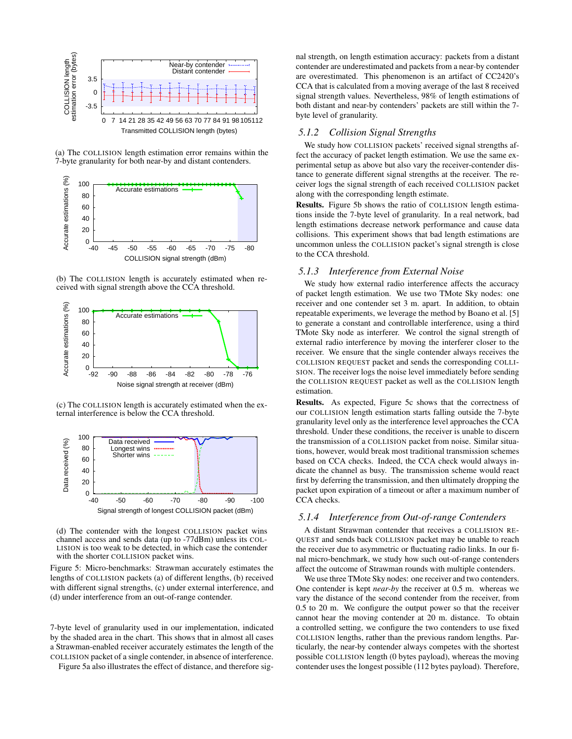

(a) The COLLISION length estimation error remains within the 7-byte granularity for both near-by and distant contenders.



(b) The COLLISION length is accurately estimated when received with signal strength above the CCA threshold.



(c) The COLLISION length is accurately estimated when the external interference is below the CCA threshold.



(d) The contender with the longest COLLISION packet wins channel access and sends data (up to -77dBm) unless its COL-LISION is too weak to be detected, in which case the contender with the shorter COLLISION packet wins.

Figure 5: Micro-benchmarks: Strawman accurately estimates the lengths of COLLISION packets (a) of different lengths, (b) received with different signal strengths, (c) under external interference, and (d) under interference from an out-of-range contender.

7-byte level of granularity used in our implementation, indicated by the shaded area in the chart. This shows that in almost all cases a Strawman-enabled receiver accurately estimates the length of the COLLISION packet of a single contender, in absence of interference.

Figure 5a also illustrates the effect of distance, and therefore sig-

nal strength, on length estimation accuracy: packets from a distant contender are underestimated and packets from a near-by contender are overestimated. This phenomenon is an artifact of CC2420's CCA that is calculated from a moving average of the last 8 received signal strength values. Nevertheless, 98% of length estimations of both distant and near-by contenders' packets are still within the 7 byte level of granularity.

## *5.1.2 Collision Signal Strengths*

We study how COLLISION packets' received signal strengths affect the accuracy of packet length estimation. We use the same experimental setup as above but also vary the receiver-contender distance to generate different signal strengths at the receiver. The receiver logs the signal strength of each received COLLISION packet along with the corresponding length estimate.

Results. Figure 5b shows the ratio of COLLISION length estimations inside the 7-byte level of granularity. In a real network, bad length estimations decrease network performance and cause data collisions. This experiment shows that bad length estimations are uncommon unless the COLLISION packet's signal strength is close to the CCA threshold.

## *5.1.3 Interference from External Noise*

We study how external radio interference affects the accuracy of packet length estimation. We use two TMote Sky nodes: one receiver and one contender set 3 m. apart. In addition, to obtain repeatable experiments, we leverage the method by Boano et al. [5] to generate a constant and controllable interference, using a third TMote Sky node as interferer. We control the signal strength of external radio interference by moving the interferer closer to the receiver. We ensure that the single contender always receives the COLLISION REQUEST packet and sends the corresponding COLLI-SION. The receiver logs the noise level immediately before sending the COLLISION REQUEST packet as well as the COLLISION length estimation.

Results. As expected, Figure 5c shows that the correctness of our COLLISION length estimation starts falling outside the 7-byte granularity level only as the interference level approaches the CCA threshold. Under these conditions, the receiver is unable to discern the transmission of a COLLISION packet from noise. Similar situations, however, would break most traditional transmission schemes based on CCA checks. Indeed, the CCA check would always indicate the channel as busy. The transmission scheme would react first by deferring the transmission, and then ultimately dropping the packet upon expiration of a timeout or after a maximum number of CCA checks.

### *5.1.4 Interference from Out-of-range Contenders*

A distant Strawman contender that receives a COLLISION RE-QUEST and sends back COLLISION packet may be unable to reach the receiver due to asymmetric or fluctuating radio links. In our final micro-benchmark, we study how such out-of-range contenders affect the outcome of Strawman rounds with multiple contenders.

We use three TMote Sky nodes: one receiver and two contenders. One contender is kept *near-by* the receiver at 0.5 m. whereas we vary the distance of the second contender from the receiver, from 0.5 to 20 m. We configure the output power so that the receiver cannot hear the moving contender at 20 m. distance. To obtain a controlled setting, we configure the two contenders to use fixed COLLISION lengths, rather than the previous random lengths. Particularly, the near-by contender always competes with the shortest possible COLLISION length (0 bytes payload), whereas the moving contender uses the longest possible (112 bytes payload). Therefore,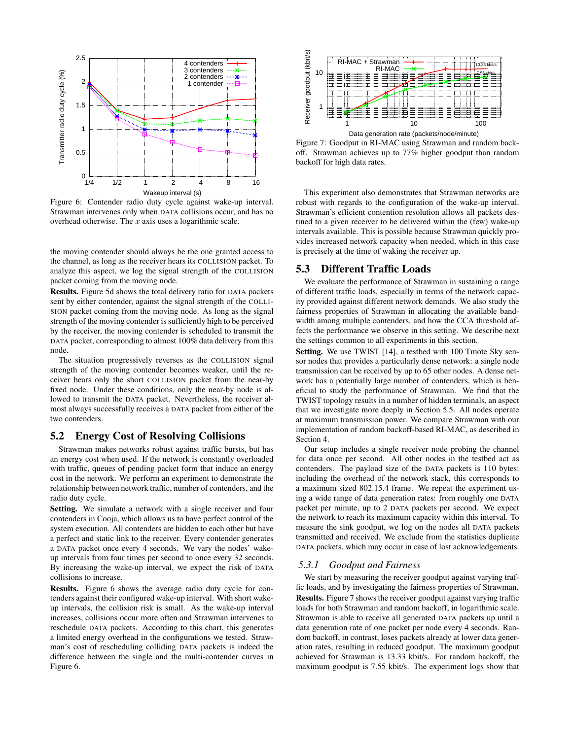

Figure 6: Contender radio duty cycle against wake-up interval. Strawman intervenes only when DATA collisions occur, and has no overhead otherwise. The  $x$  axis uses a logarithmic scale.

the moving contender should always be the one granted access to the channel, as long as the receiver hears its COLLISION packet. To analyze this aspect, we log the signal strength of the COLLISION packet coming from the moving node.

Results. Figure 5d shows the total delivery ratio for DATA packets sent by either contender, against the signal strength of the COLLI-SION packet coming from the moving node. As long as the signal strength of the moving contender is sufficiently high to be perceived by the receiver, the moving contender is scheduled to transmit the DATA packet, corresponding to almost 100% data delivery from this node.

The situation progressively reverses as the COLLISION signal strength of the moving contender becomes weaker, until the receiver hears only the short COLLISION packet from the near-by fixed node. Under these conditions, only the near-by node is allowed to transmit the DATA packet. Nevertheless, the receiver almost always successfully receives a DATA packet from either of the two contenders.

### 5.2 Energy Cost of Resolving Collisions

Strawman makes networks robust against traffic bursts, but has an energy cost when used. If the network is constantly overloaded with traffic, queues of pending packet form that induce an energy cost in the network. We perform an experiment to demonstrate the relationship between network traffic, number of contenders, and the radio duty cycle.

Setting. We simulate a network with a single receiver and four contenders in Cooja, which allows us to have perfect control of the system execution. All contenders are hidden to each other but have a perfect and static link to the receiver. Every contender generates a DATA packet once every 4 seconds. We vary the nodes' wakeup intervals from four times per second to once every 32 seconds. By increasing the wake-up interval, we expect the risk of DATA collisions to increase.

Results. Figure 6 shows the average radio duty cycle for contenders against their configured wake-up interval. With short wakeup intervals, the collision risk is small. As the wake-up interval increases, collisions occur more often and Strawman intervenes to reschedule DATA packets. According to this chart, this generates a limited energy overhead in the configurations we tested. Strawman's cost of rescheduling colliding DATA packets is indeed the difference between the single and the multi-contender curves in Figure 6.



Figure 7: Goodput in RI-MAC using Strawman and random backoff. Strawman achieves up to 77% higher goodput than random backoff for high data rates.

This experiment also demonstrates that Strawman networks are robust with regards to the configuration of the wake-up interval. Strawman's efficient contention resolution allows all packets destined to a given receiver to be delivered within the (few) wake-up intervals available. This is possible because Strawman quickly provides increased network capacity when needed, which in this case is precisely at the time of waking the receiver up.

## 5.3 Different Traffic Loads

We evaluate the performance of Strawman in sustaining a range of different traffic loads, especially in terms of the network capacity provided against different network demands. We also study the fairness properties of Strawman in allocating the available bandwidth among multiple contenders, and how the CCA threshold affects the performance we observe in this setting. We describe next the settings common to all experiments in this section.

Setting. We use TWIST [14], a testbed with 100 Tmote Sky sensor nodes that provides a particularly dense network: a single node transmission can be received by up to 65 other nodes. A dense network has a potentially large number of contenders, which is beneficial to study the performance of Strawman. We find that the TWIST topology results in a number of hidden terminals, an aspect that we investigate more deeply in Section 5.5. All nodes operate at maximum transmission power. We compare Strawman with our implementation of random backoff-based RI-MAC, as described in Section 4.

Our setup includes a single receiver node probing the channel for data once per second. All other nodes in the testbed act as contenders. The payload size of the DATA packets is 110 bytes: including the overhead of the network stack, this corresponds to a maximum sized 802.15.4 frame. We repeat the experiment using a wide range of data generation rates: from roughly one DATA packet per minute, up to 2 DATA packets per second. We expect the network to reach its maximum capacity within this interval. To measure the sink goodput, we log on the nodes all DATA packets transmitted and received. We exclude from the statistics duplicate DATA packets, which may occur in case of lost acknowledgements.

#### *5.3.1 Goodput and Fairness*

We start by measuring the receiver goodput against varying traffic loads, and by investigating the fairness properties of Strawman. Results. Figure 7 shows the receiver goodput against varying traffic loads for both Strawman and random backoff, in logarithmic scale. Strawman is able to receive all generated DATA packets up until a data generation rate of one packet per node every 4 seconds. Random backoff, in contrast, loses packets already at lower data generation rates, resulting in reduced goodput. The maximum goodput achieved for Strawman is 13.33 kbit/s. For random backoff, the maximum goodput is 7.55 kbit/s. The experiment logs show that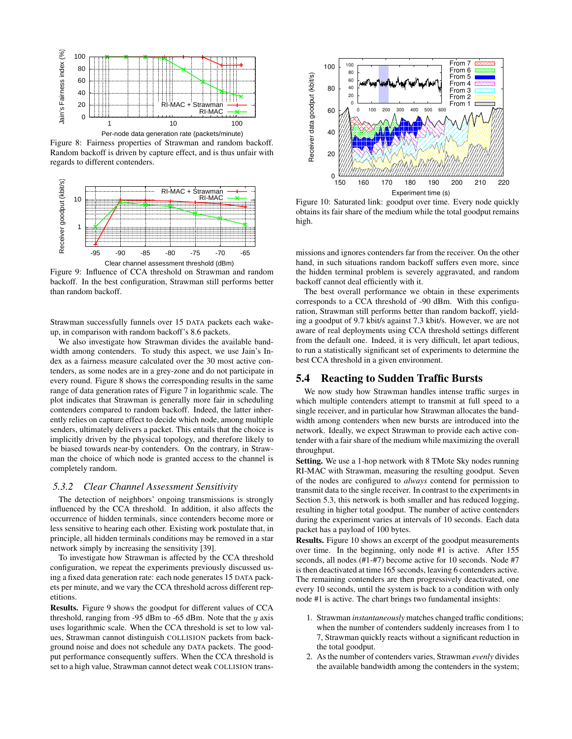

Figure 8: Fairness properties of Strawman and random backoff. Random backoff is driven by capture effect, and is thus unfair with regards to different contenders.



Figure 9: Influence of CCA threshold on Strawman and random backoff. In the best configuration, Strawman still performs better than random backoff.

Strawman successfully funnels over 15 DATA packets each wakeup, in comparison with random backoff's 8.6 packets.

We also investigate how Strawman divides the available bandwidth among contenders. To study this aspect, we use Jain's Index as a fairness measure calculated over the 30 most active contenders, as some nodes are in a grey-zone and do not participate in every round. Figure 8 shows the corresponding results in the same range of data generation rates of Figure 7 in logarithmic scale. The plot indicates that Strawman is generally more fair in scheduling contenders compared to random backoff. Indeed, the latter inherently relies on capture effect to decide which node, among multiple senders, ultimately delivers a packet. This entails that the choice is implicitly driven by the physical topology, and therefore likely to be biased towards near-by contenders. On the contrary, in Strawman the choice of which node is granted access to the channel is completely random.

#### *5.3.2 Clear Channel Assessment Sensitivity*

The detection of neighbors' ongoing transmissions is strongly influenced by the CCA threshold. In addition, it also affects the occurrence of hidden terminals, since contenders become more or less sensitive to hearing each other. Existing work postulate that, in principle, all hidden terminals conditions may be removed in a star network simply by increasing the sensitivity [39].

To investigate how Strawman is affected by the CCA threshold configuration, we repeat the experiments previously discussed using a fixed data generation rate: each node generates 15 DATA packets per minute, and we vary the CCA threshold across different repetitions.

Results. Figure 9 shows the goodput for different values of CCA threshold, ranging from -95 dBm to -65 dBm. Note that the  $y$  axis uses logarithmic scale. When the CCA threshold is set to low values, Strawman cannot distinguish COLLISION packets from background noise and does not schedule any DATA packets. The goodput performance consequently suffers. When the CCA threshold is set to a high value, Strawman cannot detect weak COLLISION trans-



Figure 10: Saturated link: goodput over time. Every node quickly obtains its fair share of the medium while the total goodput remains high.

missions and ignores contenders far from the receiver. On the other hand, in such situations random backoff suffers even more, since the hidden terminal problem is severely aggravated, and random backoff cannot deal efficiently with it.

The best overall performance we obtain in these experiments corresponds to a CCA threshold of -90 dBm. With this configuration, Strawman still performs better than random backoff, yielding a goodput of 9.7 kbit/s against 7.3 kbit/s. However, we are not aware of real deployments using CCA threshold settings different from the default one. Indeed, it is very difficult, let apart tedious, to run a statistically significant set of experiments to determine the best CCA threshold in a given environment.

### 5.4 Reacting to Sudden Traffic Bursts

We now study how Strawman handles intense traffic surges in which multiple contenders attempt to transmit at full speed to a single receiver, and in particular how Strawman allocates the bandwidth among contenders when new bursts are introduced into the network. Ideally, we expect Strawman to provide each active contender with a fair share of the medium while maximizing the overall throughput.

Setting. We use a 1-hop network with 8 TMote Sky nodes running RI-MAC with Strawman, measuring the resulting goodput. Seven of the nodes are configured to *always* contend for permission to transmit data to the single receiver. In contrast to the experiments in Section 5.3, this network is both smaller and has reduced logging, resulting in higher total goodput. The number of active contenders during the experiment varies at intervals of 10 seconds. Each data packet has a payload of 100 bytes.

Results. Figure 10 shows an excerpt of the goodput measurements over time. In the beginning, only node #1 is active. After 155 seconds, all nodes (#1-#7) become active for 10 seconds. Node #7 is then deactivated at time 165 seconds, leaving 6 contenders active. The remaining contenders are then progressively deactivated, one every 10 seconds, until the system is back to a condition with only node #1 is active. The chart brings two fundamental insights:

- 1. Strawman *instantaneously* matches changed traffic conditions; when the number of contenders suddenly increases from 1 to 7, Strawman quickly reacts without a significant reduction in the total goodput.
- 2. As the number of contenders varies, Strawman *evenly* divides the available bandwidth among the contenders in the system;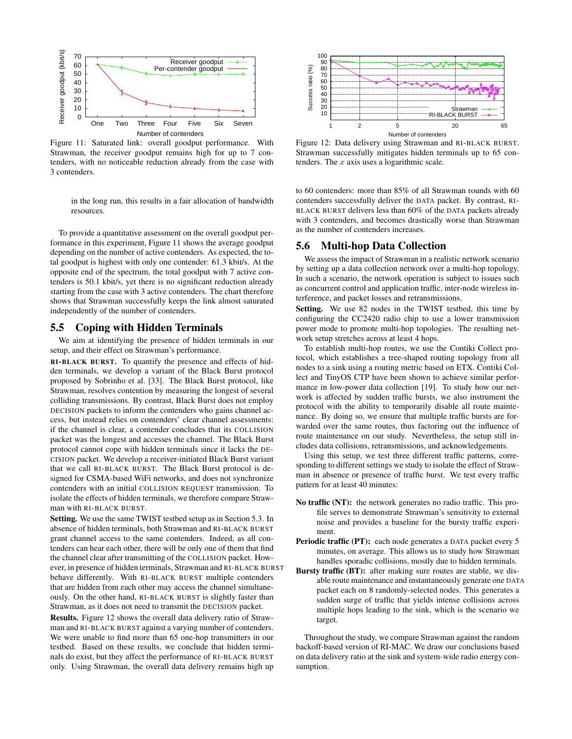

Figure 11: Saturated link: overall goodput performance. With Strawman, the receiver goodput remains high for up to 7 contenders, with no noticeable reduction already from the case with 3 contenders.

in the long run, this results in a fair allocation of bandwidth resources.

To provide a quantitative assessment on the overall goodput performance in this experiment, Figure 11 shows the average goodput depending on the number of active contenders. As expected, the total goodput is highest with only one contender: 61.3 kbit/s. At the opposite end of the spectrum, the total goodput with 7 active contenders is 50.1 kbit/s, yet there is no significant reduction already starting from the case with 3 active contenders. The chart therefore shows that Strawman successfully keeps the link almost saturated independently of the number of contenders.

## 5.5 Coping with Hidden Terminals

We aim at identifying the presence of hidden terminals in our setup, and their effect on Strawman's performance.

RI-BLACK BURST. To quantify the presence and effects of hidden terminals, we develop a variant of the Black Burst protocol proposed by Sobrinho et al. [33]. The Black Burst protocol, like Strawman, resolves contention by measuring the longest of several colliding transmissions. By contrast, Black Burst does not employ DECISION packets to inform the contenders who gains channel access, but instead relies on contenders' clear channel assessments: if the channel is clear, a contender concludes that its COLLISION packet was the longest and accesses the channel. The Black Burst protocol cannot cope with hidden terminals since it lacks the DE-CISION packet. We develop a receiver-initiated Black Burst variant that we call RI-BLACK BURST. The Black Burst protocol is designed for CSMA-based WiFi networks, and does not synchronize contenders with an initial COLLISION REQUEST transmission. To isolate the effects of hidden terminals, we therefore compare Strawman with RI-BLACK BURST.

Setting. We use the same TWIST testbed setup as in Section 5.3. In absence of hidden terminals, both Strawman and RI-BLACK BURST grant channel access to the same contenders. Indeed, as all contenders can hear each other, there will be only one of them that find the channel clear after transmitting of the COLLISION packet. However, in presence of hidden terminals, Strawman and RI-BLACK BURST behave differently. With RI-BLACK BURST multiple contenders that are hidden from each other may access the channel simultaneously. On the other hand, RI-BLACK BURST is slightly faster than Strawman, as it does not need to transmit the DECISION packet.

Results. Figure 12 shows the overall data delivery ratio of Strawman and RI-BLACK BURST against a varying number of contenders. We were unable to find more than 65 one-hop transmitters in our testbed. Based on these results, we conclude that hidden terminals do exist, but they affect the performance of RI-BLACK BURST only. Using Strawman, the overall data delivery remains high up



Figure 12: Data delivery using Strawman and RI-BLACK BURST. Strawman successfully mitigates hidden terminals up to 65 contenders. The  $x$  axis uses a logarithmic scale.

to 60 contenders: more than 85% of all Strawman rounds with 60 contenders successfully deliver the DATA packet. By contrast, RI-BLACK BURST delivers less than 60% of the DATA packets already with 3 contenders, and becomes drastically worse than Strawman as the number of contenders increases.

#### 5.6 Multi-hop Data Collection

We assess the impact of Strawman in a realistic network scenario by setting up a data collection network over a multi-hop topology. In such a scenario, the network operation is subject to issues such as concurrent control and application traffic, inter-node wireless interference, and packet losses and retransmissions.

Setting. We use 82 nodes in the TWIST testbed, this time by configuring the CC2420 radio chip to use a lower transmission power mode to promote multi-hop topologies. The resulting network setup stretches across at least 4 hops.

To establish multi-hop routes, we use the Contiki Collect protocol, which establishes a tree-shaped routing topology from all nodes to a sink using a routing metric based on ETX. Contiki Collect and TinyOS CTP have been shown to achieve similar performance in low-power data collection [19]. To study how our network is affected by sudden traffic bursts, we also instrument the protocol with the ability to temporarily disable all route maintenance. By doing so, we ensure that multiple traffic bursts are forwarded over the same routes, thus factoring out the influence of route maintenance on our study. Nevertheless, the setup still includes data collisions, retransmissions, and acknowledgements.

Using this setup, we test three different traffic patterns, corresponding to different settings we study to isolate the effect of Strawman in absence or presence of traffic burst. We test every traffic pattern for at least 40 minutes:

- No traffic (NT): the network generates no radio traffic. This profile serves to demonstrate Strawman's sensitivity to external noise and provides a baseline for the bursty traffic experiment.
- Periodic traffic (PT): each node generates a DATA packet every 5 minutes, on average. This allows us to study how Strawman handles sporadic collisions, mostly due to hidden terminals.
- Bursty traffic (BT): after making sure routes are stable, we disable route maintenance and instantaneously generate one DATA packet each on 8 randomly-selected nodes. This generates a sudden surge of traffic that yields intense collisions across multiple hops leading to the sink, which is the scenario we target.

Throughout the study, we compare Strawman against the random backoff-based version of RI-MAC. We draw our conclusions based on data delivery ratio at the sink and system-wide radio energy consumption.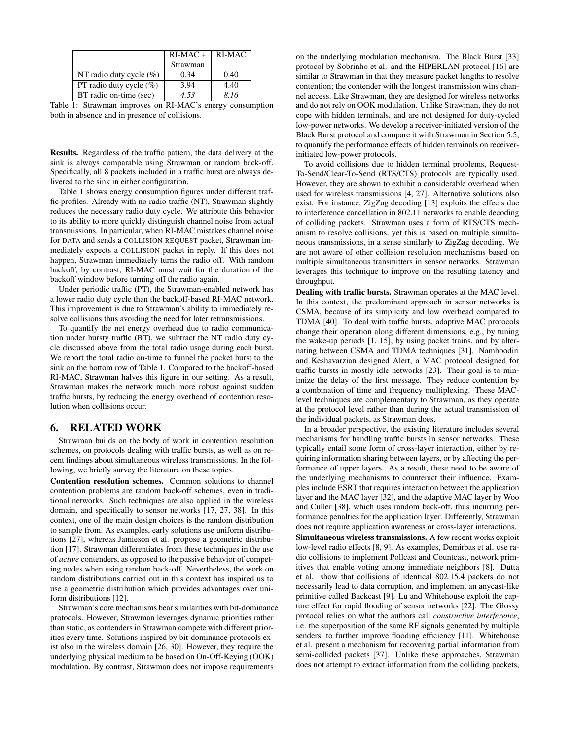|                            | $RI-MAC +$ | RI-MAC |
|----------------------------|------------|--------|
|                            | Strawman   |        |
| NT radio duty cycle $(\%)$ | 0.34       | 0.40   |
| PT radio duty cycle $(\%)$ | 3.94       | 4.40   |
| BT radio on-time (sec)     | 4.53       | 8.16   |

Table 1: Strawman improves on RI-MAC's energy consumption both in absence and in presence of collisions.

Results. Regardless of the traffic pattern, the data delivery at the sink is always comparable using Strawman or random back-off. Specifically, all 8 packets included in a traffic burst are always delivered to the sink in either configuration.

Table 1 shows energy consumption figures under different traffic profiles. Already with no radio traffic (NT), Strawman slightly reduces the necessary radio duty cycle. We attribute this behavior to its ability to more quickly distinguish channel noise from actual transmissions. In particular, when RI-MAC mistakes channel noise for DATA and sends a COLLISION REQUEST packet, Strawman immediately expects a COLLISION packet in reply. If this does not happen, Strawman immediately turns the radio off. With random backoff, by contrast, RI-MAC must wait for the duration of the backoff window before turning off the radio again.

Under periodic traffic (PT), the Strawman-enabled network has a lower radio duty cycle than the backoff-based RI-MAC network. This improvement is due to Strawman's ability to immediately resolve collisions thus avoiding the need for later retransmissions.

To quantify the net energy overhead due to radio communication under bursty traffic (BT), we subtract the NT radio duty cycle discussed above from the total radio usage during each burst. We report the total radio on-time to funnel the packet burst to the sink on the bottom row of Table 1. Compared to the backoff-based RI-MAC, Strawman halves this figure in our setting. As a result, Strawman makes the network much more robust against sudden traffic bursts, by reducing the energy overhead of contention resolution when collisions occur.

## 6. RELATED WORK

Strawman builds on the body of work in contention resolution schemes, on protocols dealing with traffic bursts, as well as on recent findings about simultaneous wireless transmissions. In the following, we briefly survey the literature on these topics.

Contention resolution schemes. Common solutions to channel contention problems are random back-off schemes, even in traditional networks. Such techniques are also applied in the wireless domain, and specifically to sensor networks [17, 27, 38]. In this context, one of the main design choices is the random distribution to sample from. As examples, early solutions use uniform distributions [27], whereas Jamieson et al. propose a geometric distribution [17]. Strawman differentiates from these techniques in the use of *active* contenders, as opposed to the passive behavior of competing nodes when using random back-off. Nevertheless, the work on random distributions carried out in this context has inspired us to use a geometric distribution which provides advantages over uniform distributions [12].

Strawman's core mechanisms bear similarities with bit-dominance protocols. However, Strawman leverages dynamic priorities rather than static, as contenders in Strawman compete with different priorities every time. Solutions inspired by bit-dominance protocols exist also in the wireless domain [26, 30]. However, they require the underlying physical medium to be based on On-Off-Keying (OOK) modulation. By contrast, Strawman does not impose requirements

on the underlying modulation mechanism. The Black Burst [33] protocol by Sobrinho et al. and the HIPERLAN protocol [16] are similar to Strawman in that they measure packet lengths to resolve contention; the contender with the longest transmission wins channel access. Like Strawman, they are designed for wireless networks and do not rely on OOK modulation. Unlike Strawman, they do not cope with hidden terminals, and are not designed for duty-cycled low-power networks. We develop a receiver-initiated version of the Black Burst protocol and compare it with Strawman in Section 5.5, to quantify the performance effects of hidden terminals on receiverinitiated low-power protocols.

To avoid collisions due to hidden terminal problems, Request-To-Send/Clear-To-Send (RTS/CTS) protocols are typically used. However, they are shown to exhibit a considerable overhead when used for wireless transmissions [4, 27]. Alternative solutions also exist. For instance, ZigZag decoding [13] exploits the effects due to interference cancellation in 802.11 networks to enable decoding of colliding packets. Strawman uses a form of RTS/CTS mechanism to resolve collisions, yet this is based on multiple simultaneous transmissions, in a sense similarly to ZigZag decoding. We are not aware of other collision resolution mechanisms based on multiple simultaneous transmitters in sensor networks. Strawman leverages this technique to improve on the resulting latency and throughput.

Dealing with traffic bursts. Strawman operates at the MAC level. In this context, the predominant approach in sensor networks is CSMA, because of its simplicity and low overhead compared to TDMA [40]. To deal with traffic bursts, adaptive MAC protocols change their operation along different dimensions, e.g., by tuning the wake-up periods [1, 15], by using packet trains, and by alternating between CSMA and TDMA techniques [31]. Namboodiri and Keshavarzian designed Alert, a MAC protocol designed for traffic bursts in mostly idle networks [23]. Their goal is to minimize the delay of the first message. They reduce contention by a combination of time and frequency multiplexing. These MAClevel techniques are complementary to Strawman, as they operate at the protocol level rather than during the actual transmission of the individual packets, as Strawman does.

In a broader perspective, the existing literature includes several mechanisms for handling traffic bursts in sensor networks. These typically entail some form of cross-layer interaction, either by requiring information sharing between layers, or by affecting the performance of upper layers. As a result, these need to be aware of the underlying mechanisms to counteract their influence. Examples include ESRT that requires interaction between the application layer and the MAC layer [32], and the adaptive MAC layer by Woo and Culler [38], which uses random back-off, thus incurring performance penalties for the application layer. Differently, Strawman does not require application awareness or cross-layer interactions. Simultaneous wireless transmissions. A few recent works exploit low-level radio effects [8, 9]. As examples, Demirbas et al. use radio collisions to implement Pollcast and Countcast, network primitives that enable voting among immediate neighbors [8]. Dutta et al. show that collisions of identical 802.15.4 packets do not necessarily lead to data corruption, and implement an anycast-like primitive called Backcast [9]. Lu and Whitehouse exploit the capture effect for rapid flooding of sensor networks [22]. The Glossy protocol relies on what the authors call *constructive interference*, i.e. the superposition of the same RF signals generated by multiple senders, to further improve flooding efficiency [11]. Whitehouse et al. present a mechanism for recovering partial information from semi-collided packets [37]. Unlike these approaches, Strawman does not attempt to extract information from the colliding packets,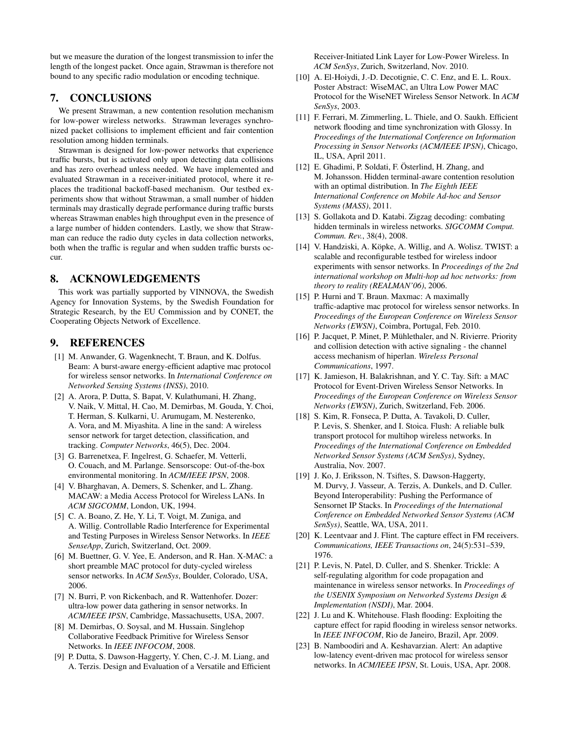but we measure the duration of the longest transmission to infer the length of the longest packet. Once again, Strawman is therefore not bound to any specific radio modulation or encoding technique.

# 7. CONCLUSIONS

We present Strawman, a new contention resolution mechanism for low-power wireless networks. Strawman leverages synchronized packet collisions to implement efficient and fair contention resolution among hidden terminals.

Strawman is designed for low-power networks that experience traffic bursts, but is activated only upon detecting data collisions and has zero overhead unless needed. We have implemented and evaluated Strawman in a receiver-initiated protocol, where it replaces the traditional backoff-based mechanism. Our testbed experiments show that without Strawman, a small number of hidden terminals may drastically degrade performance during traffic bursts whereas Strawman enables high throughput even in the presence of a large number of hidden contenders. Lastly, we show that Strawman can reduce the radio duty cycles in data collection networks, both when the traffic is regular and when sudden traffic bursts occur.

## 8. ACKNOWLEDGEMENTS

This work was partially supported by VINNOVA, the Swedish Agency for Innovation Systems, by the Swedish Foundation for Strategic Research, by the EU Commission and by CONET, the Cooperating Objects Network of Excellence.

## 9. REFERENCES

- [1] M. Anwander, G. Wagenknecht, T. Braun, and K. Dolfus. Beam: A burst-aware energy-efficient adaptive mac protocol for wireless sensor networks. In *International Conference on Networked Sensing Systems (INSS)*, 2010.
- [2] A. Arora, P. Dutta, S. Bapat, V. Kulathumani, H. Zhang, V. Naik, V. Mittal, H. Cao, M. Demirbas, M. Gouda, Y. Choi, T. Herman, S. Kulkarni, U. Arumugam, M. Nesterenko, A. Vora, and M. Miyashita. A line in the sand: A wireless sensor network for target detection, classification, and tracking. *Computer Networks*, 46(5), Dec. 2004.
- [3] G. Barrenetxea, F. Ingelrest, G. Schaefer, M. Vetterli, O. Couach, and M. Parlange. Sensorscope: Out-of-the-box environmental monitoring. In *ACM/IEEE IPSN*, 2008.
- [4] V. Bharghavan, A. Demers, S. Schenker, and L. Zhang. MACAW: a Media Access Protocol for Wireless LANs. In *ACM SIGCOMM*, London, UK, 1994.
- [5] C. A. Boano, Z. He, Y. Li, T. Voigt, M. Zuniga, and A. Willig. Controllable Radio Interference for Experimental and Testing Purposes in Wireless Sensor Networks. In *IEEE SenseApp*, Zurich, Switzerland, Oct. 2009.
- [6] M. Buettner, G. V. Yee, E. Anderson, and R. Han. X-MAC: a short preamble MAC protocol for duty-cycled wireless sensor networks. In *ACM SenSys*, Boulder, Colorado, USA, 2006.
- [7] N. Burri, P. von Rickenbach, and R. Wattenhofer. Dozer: ultra-low power data gathering in sensor networks. In *ACM/IEEE IPSN*, Cambridge, Massachusetts, USA, 2007.
- [8] M. Demirbas, O. Soysal, and M. Hussain. Singlehop Collaborative Feedback Primitive for Wireless Sensor Networks. In *IEEE INFOCOM*, 2008.
- [9] P. Dutta, S. Dawson-Haggerty, Y. Chen, C.-J. M. Liang, and A. Terzis. Design and Evaluation of a Versatile and Efficient

Receiver-Initiated Link Layer for Low-Power Wireless. In *ACM SenSys*, Zurich, Switzerland, Nov. 2010.

- [10] A. El-Hoiydi, J.-D. Decotignie, C. C. Enz, and E. L. Roux. Poster Abstract: WiseMAC, an Ultra Low Power MAC Protocol for the WiseNET Wireless Sensor Network. In *ACM SenSys*, 2003.
- [11] F. Ferrari, M. Zimmerling, L. Thiele, and O. Saukh. Efficient network flooding and time synchronization with Glossy. In *Proceedings of the International Conference on Information Processing in Sensor Networks (ACM/IEEE IPSN)*, Chicago, IL, USA, April 2011.
- [12] E. Ghadimi, P. Soldati, F. Österlind, H. Zhang, and M. Johansson. Hidden terminal-aware contention resolution with an optimal distribution. In *The Eighth IEEE International Conference on Mobile Ad-hoc and Sensor Systems (MASS)*, 2011.
- [13] S. Gollakota and D. Katabi. Zigzag decoding: combating hidden terminals in wireless networks. *SIGCOMM Comput. Commun. Rev.*, 38(4), 2008.
- [14] V. Handziski, A. Köpke, A. Willig, and A. Wolisz. TWIST: a scalable and reconfigurable testbed for wireless indoor experiments with sensor networks. In *Proceedings of the 2nd international workshop on Multi-hop ad hoc networks: from theory to reality (REALMAN'06)*, 2006.
- [15] P. Hurni and T. Braun. Maxmac: A maximally traffic-adaptive mac protocol for wireless sensor networks. In *Proceedings of the European Conference on Wireless Sensor Networks (EWSN)*, Coimbra, Portugal, Feb. 2010.
- [16] P. Jacquet, P. Minet, P. Mühlethaler, and N. Rivierre. Priority and collision detection with active signaling - the channel access mechanism of hiperlan. *Wireless Personal Communications*, 1997.
- [17] K. Jamieson, H. Balakrishnan, and Y. C. Tay. Sift: a MAC Protocol for Event-Driven Wireless Sensor Networks. In *Proceedings of the European Conference on Wireless Sensor Networks (EWSN)*, Zurich, Switzerland, Feb. 2006.
- [18] S. Kim, R. Fonseca, P. Dutta, A. Tavakoli, D. Culler, P. Levis, S. Shenker, and I. Stoica. Flush: A reliable bulk transport protocol for multihop wireless networks. In *Proceedings of the International Conference on Embedded Networked Sensor Systems (ACM SenSys)*, Sydney, Australia, Nov. 2007.
- [19] J. Ko, J. Eriksson, N. Tsiftes, S. Dawson-Haggerty, M. Durvy, J. Vasseur, A. Terzis, A. Dunkels, and D. Culler. Beyond Interoperability: Pushing the Performance of Sensornet IP Stacks. In *Proceedings of the International Conference on Embedded Networked Sensor Systems (ACM SenSys)*, Seattle, WA, USA, 2011.
- [20] K. Leentvaar and J. Flint. The capture effect in FM receivers. *Communications, IEEE Transactions on*, 24(5):531–539, 1976.
- [21] P. Levis, N. Patel, D. Culler, and S. Shenker. Trickle: A self-regulating algorithm for code propagation and maintenance in wireless sensor networks. In *Proceedings of the USENIX Symposium on Networked Systems Design & Implementation (NSDI)*, Mar. 2004.
- [22] J. Lu and K. Whitehouse. Flash flooding: Exploiting the capture effect for rapid flooding in wireless sensor networks. In *IEEE INFOCOM*, Rio de Janeiro, Brazil, Apr. 2009.
- [23] B. Namboodiri and A. Keshavarzian. Alert: An adaptive low-latency event-driven mac protocol for wireless sensor networks. In *ACM/IEEE IPSN*, St. Louis, USA, Apr. 2008.